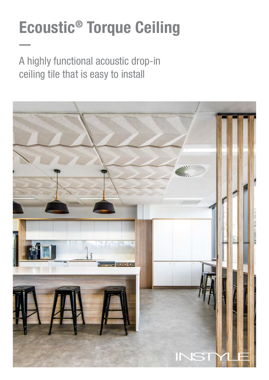# Ecoustic® Torque Ceiling

A highly functional acoustic drop-in ceiling tile that is easy to install

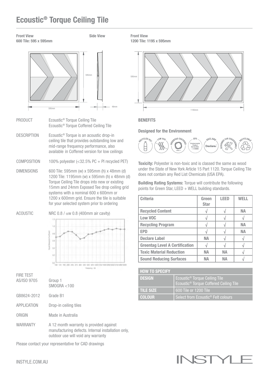## Ecoustic® Torque Ceiling Tile

Front View 600 Tile: 595 x 595mm Side View



- PRODUCT Ecoustic<sup>®</sup> Torque Ceiling Tile Ecoustic® Torque Coffered Ceiling Tile
- DESCRIPTION Ecoustic® Torque is an acoustic drop-in ceiling tile that provides outstanding low and mid-range frequency performance, also available in Coffered version for low ceilings
- COMPOSITION 100% polyester (<32.5% PC + PI recycled PET)
- DIMENSIONS 600 Tile: 595mm (w) x 595mm (h) x 48mm (d) 1200 Tile: 1195mm (w) x 595mm (h) x 48mm (d) Torque Ceiling Tile drops into new or existing 15mm and 24mm Exposed Tee drop ceiling grid systems with a nominal 600 x 600mm or 1200 x 600mm grid. Ensure the tile is suitable for your selected system prior to ordering

ACOUSTIC NRC 0.8 /  $\alpha$ w 0.8 (400mm air cavity)



FIRE TEST C/ICO 0705

| <b>BO IS DEIRS</b> | aroup T<br>SMOGRA < 100                                                                                                             |
|--------------------|-------------------------------------------------------------------------------------------------------------------------------------|
| GB8624-2012        | Grade B1                                                                                                                            |
| <b>APPLICATION</b> | Drop-in ceiling tiles                                                                                                               |
| ORIGIN             | Made in Australia                                                                                                                   |
| WARRANTY           | A 12 month warranty is provided against<br>manufacturing defects. Internal installation only,<br>outdoor use will void any warranty |

Please contact your representative for CAD drawings

Front View 1200 Tile: 1195 x 595mm



#### **BENEFITS**

Designed for the Environment



Toxicity: Polyester is non-toxic and is classed the same as wood under the State of New York Article 15 Part 1120. Torque Ceiling Tile does not contain any Red List Chemicals (USA EPA).

Building Rating Systems: Torque will contribute the following points for Green Star, LEED + WELL building standards.

| <b>Criteria</b>                       | Green<br><b>Star</b> | <b>LEED</b> | <b>WELL</b> |
|---------------------------------------|----------------------|-------------|-------------|
| <b>Recycled Content</b>               |                      |             | NА          |
| Low VOC                               |                      |             |             |
| <b>Recycling Program</b>              |                      |             | <b>NA</b>   |
| <b>EPD</b>                            |                      |             | NА          |
| <b>Declare Label</b>                  | NА                   |             |             |
| <b>Greentag Level A Certification</b> |                      |             |             |
| <b>Toxic Material Reduction</b>       | NА                   | <b>NA</b>   |             |
| <b>Sound Reducing Surfaces</b>        | NΔ                   | NΑ          |             |

| <b>HOW TO SPECIFY</b> |                                                                                                 |
|-----------------------|-------------------------------------------------------------------------------------------------|
| <b>DESIGN</b>         | Ecoustic <sup>®</sup> Torque Ceiling Tile<br>Ecoustic <sup>®</sup> Torque Coffered Ceiling Tile |
| <b>TILE SIZE</b>      | 600 Tile or 1200 Tile                                                                           |
| <b>COLOUR</b>         | Select from Ecoustic <sup>®</sup> Felt colours                                                  |

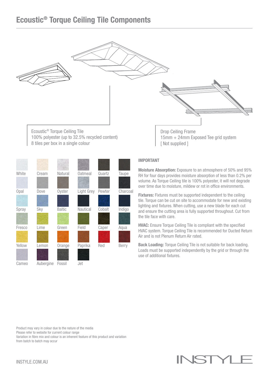## Ecoustic® Torque Ceiling Tile Components



8 tiles per box in a single colour

| White       | Cream     | Natural       | <b>Oatmeal</b> | Quartz | Taupe        |
|-------------|-----------|---------------|----------------|--------|--------------|
| <b>Opal</b> | Dove      | Oyster        | Light Grey     | Pewter | Charcoal     |
| Spray       | Sky       | <b>Baltic</b> | Nautical       | Cobalt | Indigo       |
| Fresco      | Lime      | Green         | Field          | Caper  | Aqua         |
| Yellow      | Lemon     | Orange        | Paprika        | Red    | <b>Berry</b> |
| Cameo       | Aubergine | Fossil        | Jet            |        |              |

#### IMPORTANT

Moisture Absorption: Exposure to an atmosphere of 50% and 95% RH for four days provides moisture absorption of less than 0.2% per volume. As Torque Ceiling tile is 100% polyester, it will not degrade over time due to moisture, mildew or rot in office environments.

Fixtures: Fixtures must be supported independent to the ceiling tile. Torque can be cut on site to accommodate for new and existing lighting and fixtures. When cutting, use a new blade for each cut and ensure the cutting area is fully supported throughout. Cut from the tile face with care.

HVAC: Ensure Torque Ceiling Tile is compliant with the specified HVAC system. Torque Ceiling Tile is recommended for Ducted Return Air and is not Plenum Return Air rated.

Back Loading: Torque Ceiling Tile is not suitable for back loading. Loads must be supported independently by the grid or through the use of additional fixtures.

Product may vary in colour due to the nature of the media

Please refer to website for current colour range

Variation in fibre mix and colour is an inherent feature of this product and variation from batch to batch may occur

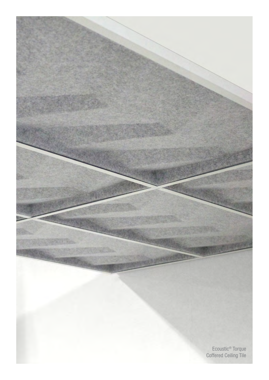